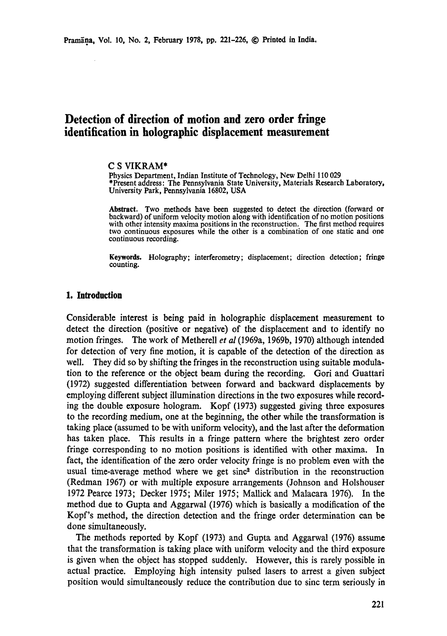# **Detection of direction of motion and zero order fringe identification in holographic displacement measurement**

#### **C S** VIKRAM\*

Physics Department, Indian Institute of Technology, New Delhi 110 029 \*Present address: The Pennsylvania State University, Materials Research Laboratory, University Park, Pennsylvania 16802, USA

**Abstract.** Two methods have been suggested to detect the direction (forward or backward) of uniform velocity motion along with identification of no motion positions with other intensity maxima positions in the reconstruction. The first method requires two continuous exposures while the other is a combination of one static and one continuous recording.

**Keywords.** Holography; interferometry; displacement; direction detection; fringe counting.

#### 1. Introduction

Considerable interest is being paid in holographic displacement measurement to detect the direction (positive or negative) of the displacement and to identify no motion fringes. The work of Metherell *et al* (1969a, 1969b, 1970) although intended for detection of very fine motion, it is capable of the detection of the direction as well. They did so by shifting the fringes in the reconstruction using suitable modulation to the reference or the object beam during the recording. Gori and Guattari (1972) suggested differentiation between forward and backward displacements by employing different subject illumination directions in the two exposures while recording the double exposure hologram. Kopf (1973) suggested giving three exposures to the recording medium, one at the beginning, the other while the transformation is taking place (assumed to be with uniform velocity), and the last after the deformation has taken place. This results in a fringe pattern where the brightest zero order fringe corresponding to no motion positions is identified with other maxima. In fact, the identification of the zero order velocity fringe is no problem even with the usual time-average method where we get sinc $<sup>2</sup>$  distribution in the reconstruction</sup> (Redman 1967) or with multiple exposure arrangements (Johnson and Holshouser 1972 Pearce 1973; Decker 1975; Miler 1975; MaUick and Malacara 1976). In the method due to Gupta and Aggarwal (1976) which is basically a modification of the Kopf's method, the direction detection and the fringe order determination can be done simultaneously.

The methods reported by Kopf (1973) and Gupta and Aggarwal (1976) assume that the transformation is taking place with uniform velocity and the third exposure is given when the object has stopped suddenly. However, this is rarely possible in actual practice. Employing high intensity pulsed lasers to arrest a given subject position would simultaneously reduce the contribution due to sinc term seriously in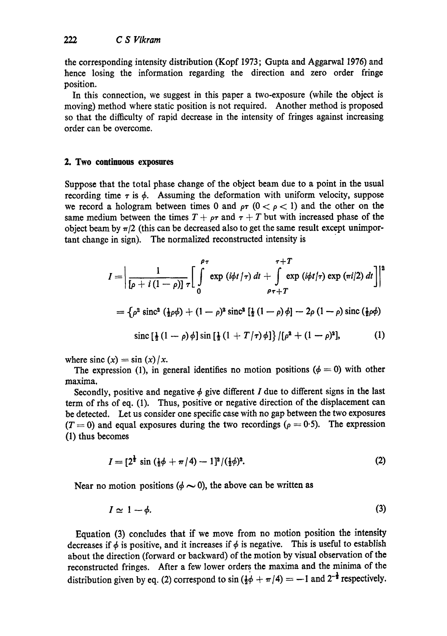the corresponding intensity distribution (Kopf 1973; Gupta and Aggarwal 1976) and hence losing the information regarding the direction and zero order fringe position.

In this connection, we suggest in this paper a two-exposure (while the object is moving) method where static position is not required. Another method is proposed so that the difficulty of rapid decrease in the intensity of fringes against increasing order can be overcome.

# **2. Two continuous exposures**

Suppose that the total phase change of the object beam due to a point in the usual recording time  $\tau$  is  $\phi$ . Assuming the deformation with uniform velocity, suppose we record a hologram between times 0 and  $\rho\tau$  ( $0 < \rho < 1$ ) and the other on the same medium between the times  $T + \rho \tau$  and  $\tau + T$  but with increased phase of the object beam by  $\pi/2$  (this can be decreased also to get the same result except unimportant change in sign). The normalized reconstructed intensity is

$$
I = \left| \frac{1}{[\rho + i(1 - \rho)] \tau} \right|_0^{\rho \tau} \exp(i\phi t/\tau) dt + \int_{\rho \tau + T}^{T+T} \exp(i\phi t/\tau) \exp(\pi i/2) dt \right|^2
$$
  
=  $\left\{ \rho^2 \operatorname{sinc}^2(\frac{1}{2}\rho\phi) + (1 - \rho)^2 \operatorname{sinc}^2[\frac{1}{2}(1 - \rho)\phi] - 2\rho(1 - \rho) \operatorname{sinc}(\frac{1}{2}\rho\phi) \right\}$   
since  $[\frac{1}{2}(1 - \rho)\phi] \sin[\frac{1}{2}(1 + T/\tau)\phi] \left\{ \left[ \rho^2 + (1 - \rho)^2 \right], \right\}$  (1)

where sinc  $(x) = \sin(x)/x$ .

The expression (1), in general identifies no motion positions ( $\phi = 0$ ) with other maxima.

Secondly, positive and negative  $\phi$  give different I due to different signs in the last term of rhs of eq. (1). Thus, positive or negative direction of the displacement can be detected. Let us consider one specific case with no gap between the two exposures  $(T = 0)$  and equal exposures during the two recordings ( $\rho = 0.5$ ). The expression (1) thus becomes

$$
I = [2^{\frac{1}{2}} \sin (\frac{1}{2}\phi + \pi/4) - 1]^2 / (\frac{1}{2}\phi)^2.
$$
 (2)

Near no motion positions ( $\phi \sim 0$ ), the above can be written as

$$
I \simeq 1 - \phi. \tag{3}
$$

Equation (3) concludes that if we move from no motion position the intensity decreases if  $\phi$  is positive, and it increases if  $\phi$  is negative. This is useful to establish about the direction (forward or backward) of the motion by visual observation of the reconstructed fringes. After a few lower orders the maxima and the minima of the distribution given by eq. (2) correspond to  $\sin(\frac{1}{2}\phi + \pi/4) = -1$  and  $2^{-\frac{1}{2}}$  respectively.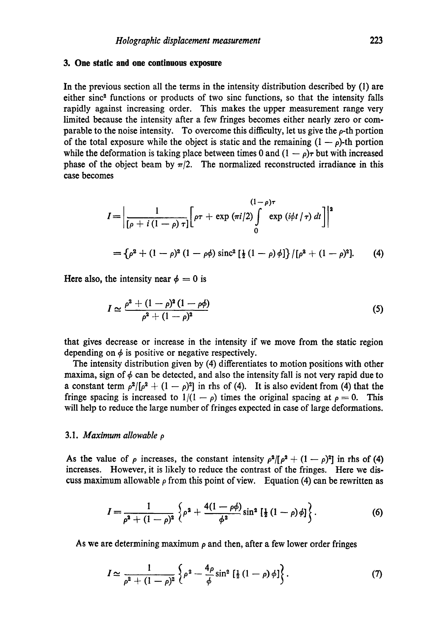# **3. One static and one continuous exposure**

In the previous section all the terms in the intensity distribution described by (1) are either sinc<sup>2</sup> functions or products of two sinc functions, so that the intensity falls rapidly against increasing order. This makes the upper measurement range very limited because the intensity after a few fringes becomes either nearly zero or comparable to the noise intensity. To overcome this difficulty, let us give the  $\rho$ -th portion of the total exposure while the object is static and the remaining  $(1 - \rho)$ -th portion while the deformation is taking place between times 0 and  $(1 - \rho)\tau$  but with increased phase of the object beam by  $\pi/2$ . The normalized reconstructed irradiance in this case becomes

$$
I = \left| \frac{1}{[\rho + i (1 - \rho) \tau]} \left[ \rho \tau + \exp (\pi i / 2) \int_{0}^{(1 - \rho) \tau} \exp (i \phi t / \tau) dt \right] \right|^{2}
$$
  
=  $\{\rho^{2} + (1 - \rho)^{2} (1 - \rho \phi) \operatorname{sinc}^{2} [\frac{1}{2} (1 - \rho) \phi] \} / [\rho^{2} + (1 - \rho)^{2}].$  (4)

Here also, the intensity near  $\phi = 0$  is

$$
I \simeq \frac{\rho^2 + (1 - \rho)^2 (1 - \rho \phi)}{\rho^2 + (1 - \rho)^2} \tag{5}
$$

that gives decrease or increase in the intensity if we move from the static region depending on  $\phi$  is positive or negative respectively.

The intensity distribution given by (4) differentiates to motion positions with other maxima, sign of  $\phi$  can be detected, and also the intensity fall is not very rapid due to a constant term  $\rho^2/[\rho^2 + (1 - \rho)^2]$  in rhs of (4). It is also evident from (4) that the fringe spacing is increased to  $1/(1 - \rho)$  times the original spacing at  $\rho = 0$ . This will help to reduce the large number of fringes expected in case of large deformations.

# 3.1. *Maximum allowable p*

As the value of  $\rho$  increases, the constant intensity  $\rho^2/[\rho^2 + (1 - \rho)^2]$  in rhs of (4) increases. However, it is likely to reduce the contrast of the fringes. Here we discuss maximum allowable  $\rho$  from this point of view. Equation (4) can be rewritten as

$$
I = \frac{1}{\rho^2 + (1 - \rho)^2} \left\{ \rho^2 + \frac{4(1 - \rho\phi)}{\phi^2} \sin^2 \left[ \frac{1}{2} (1 - \rho) \phi \right] \right\}.
$$
 (6)

As we are determining maximum  $\rho$  and then, after a few lower order fringes

$$
I \simeq \frac{1}{\rho^2 + (1 - \rho)^2} \left\{ \rho^2 - \frac{4\rho}{\phi} \sin^2 \left[ \frac{1}{2} (1 - \rho) \phi \right] \right\}.
$$
 (7)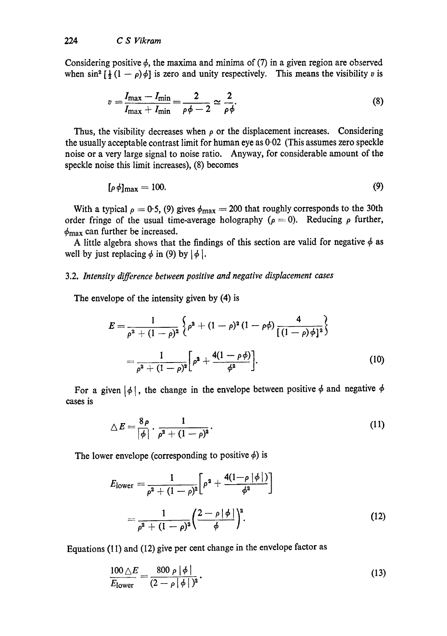Considering positive  $\phi$ , the maxima and minima of (7) in a given region are observed when  $\sin^2 \left[\frac{1}{2}(1-\rho)\phi\right]$  is zero and unity respectively. This means the visibility v is

$$
v = \frac{I_{\text{max}} - I_{\text{min}}}{I_{\text{max}} + I_{\text{min}}} = \frac{2}{\rho \phi - 2} \simeq \frac{2}{\rho \phi}.
$$
 (8)

Thus, the visibility decreases when  $\rho$  or the displacement increases. Considering the usually acceptable contrast limit for human eye as 0.02 (This assumes zero speckle noise or a very large signal to noise ratio. Anyway, for considerable amount of the speckle noise this limit increases), (8) becomes

$$
[\rho \phi]_{\text{max}} = 100. \tag{9}
$$

With a typical  $\rho = 0.5$ , (9) gives  $\phi_{\text{max}} = 200$  that roughly corresponds to the 30th order fringe of the usual time-average holography ( $\rho = 0$ ). Reducing  $\rho$  further,  $\phi_{\text{max}}$  can further be increased.

A little algebra shows that the findings of this section are valid for negative  $\phi$  as well by just replacing  $\phi$  in (9) by  $|\phi|$ .

# 3.2. *Intensity difference between positive and negative displacement cases*

The envelope of the intensity given by (4) is

$$
E = \frac{1}{\rho^2 + (1 - \rho)^2} \left\{ \rho^2 + (1 - \rho)^2 (1 - \rho \phi) \frac{4}{[(1 - \rho)\phi]^2} \right\}
$$
  
= 
$$
\frac{1}{\rho^2 + (1 - \rho)^2} \left[ \rho^2 + \frac{4(1 - \rho \phi)}{\phi^2} \right].
$$
 (10)

For a given  $|\phi|$ , the change in the envelope between positive  $\phi$  and negative  $\phi$ cases is

$$
\triangle E = \frac{8\rho}{\left|\phi\right|} \cdot \frac{1}{\rho^2 + (1-\rho)^2} \tag{11}
$$

The lower envelope (corresponding to positive  $\phi$ ) is

$$
E_{\text{lower}} = \frac{1}{\rho^2 + (1 - \rho)^2} \left[ \rho^2 + \frac{4(1 - \rho |\phi|)}{\phi^2} \right]
$$
  
= 
$$
\frac{1}{\rho^2 + (1 - \rho)^2} \left( \frac{2 - \rho |\phi|}{\phi} \right)^2.
$$
 (12)

Equations (11) and (12) give per cent change in the envelope factor as

$$
\frac{100\,\triangle E}{E_{\text{lower}}} = \frac{800\,\rho\,|\,\phi\,|}{(2-\rho\,|\,\phi\,|\,)^2} \,. \tag{13}
$$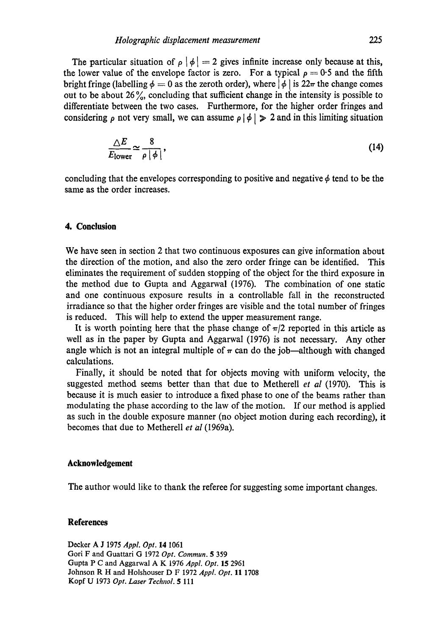The particular situation of  $\rho | \phi | = 2$  gives infinite increase only because at this, the lower value of the envelope factor is zero. For a typical  $p = 0.5$  and the fifth bright fringe (labelling  $\phi = 0$  as the zeroth order), where  $|\phi|$  is  $22\pi$  the change comes out to be about 26%, concluding that sufficient change in the intensity is possible to differentiate between the two cases. Furthermore, for the higher order fringes and considering  $\rho$  not very small, we can assume  $\rho$   $|\phi| \geq 2$  and in this limiting situation

$$
\frac{\triangle E}{E_{\text{lower}}} \simeq \frac{8}{\rho \, |\phi|},\tag{14}
$$

concluding that the envelopes corresponding to positive and negative  $\phi$  tend to be the same as the order increases.

# **4. Conclusion**

We have seen in section 2 that two continuous exposures can give information about the direction of the motion, and also the zero order fringe can be identified. This eliminates the requirement of sudden stopping of the object for the third exposure in the method due to Gupta and Aggarwal (1976). The combination of one static and one continuous exposure results in a controllable fall in the reconstructed irradiance so that the higher order fringes are visible and the total number of fringes is reduced. This will help to extend the upper measurement range.

It is worth pointing here that the phase change of  $\pi/2$  reported in this article as well as in the paper by Gupta and Aggarwal (1976) is not necessary. Any other angle which is not an integral multiple of  $\pi$  can do the job—although with changed calculations.

Finally, it should be noted that for objects moving with uniform velocity, the suggested method seems better than that due to Metherell *et al* (1970). This is because it is much easier to introduce a fixed phase to one of the beams rather than modulating the phase according to the law of the motion. If our method is applied as such in the double exposure manner (no object motion during each recording), it becomes that due to Metherell *et al* (1969a).

# **Acknowledgement**

The author would like to thank the referee for suggesting some important changes.

### **References**

Decker A J 1975 *AppL Opt.* 14 1061 Gori F and Guattari G 1972 *Opt. Commun.* 5 359 Gupta P C and Aggarwal A K 1976 *Appl. Opt.* 15 2961 Johnson R H and Holshouser D F 1972 *Appl. Opt.* 11 1708 Kopf U 1973 *Opt. Laser Technol.* 5 111